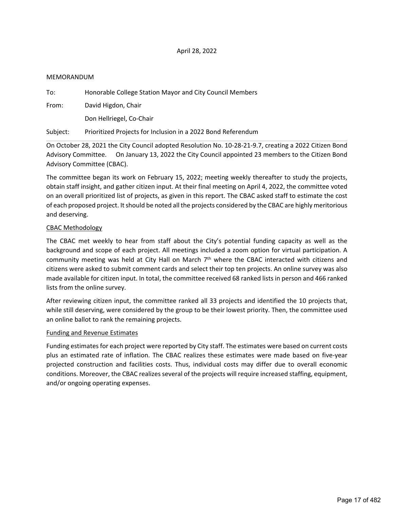# April 28, 2022

#### MEMORANDUM

To: Honorable College Station Mayor and City Council Members

From: David Higdon, Chair Don Hellriegel, Co-Chair

Subject: Prioritized Projects for Inclusion in a 2022 Bond Referendum

On October 28, 2021 the City Council adopted Resolution No. 10-28-21-9.7, creating a 2022 Citizen Bond Advisory Committee. On January 13, 2022 the City Council appointed 23 members to the Citizen Bond Advisory Committee (CBAC).

The committee began its work on February 15, 2022; meeting weekly thereafter to study the projects, obtain staff insight, and gather citizen input. At their final meeting on April 4, 2022, the committee voted on an overall prioritized list of projects, as given in this report. The CBAC asked staff to estimate the cost of each proposed project. It should be noted all the projects considered by the CBAC are highly meritorious and deserving.

### CBAC Methodology

The CBAC met weekly to hear from staff about the City's potential funding capacity as well as the background and scope of each project. All meetings included a zoom option for virtual participation. A community meeting was held at City Hall on March 7th where the CBAC interacted with citizens and citizens were asked to submit comment cards and select their top ten projects. An online survey was also made available for citizen input. In total, the committee received 68 ranked lists in person and 466 ranked lists from the online survey.

After reviewing citizen input, the committee ranked all 33 projects and identified the 10 projects that, while still deserving, were considered by the group to be their lowest priority. Then, the committee used an online ballot to rank the remaining projects.

# Funding and Revenue Estimates

Funding estimates for each project were reported by City staff. The estimates were based on current costs plus an estimated rate of inflation. The CBAC realizes these estimates were made based on five-year projected construction and facilities costs. Thus, individual costs may differ due to overall economic conditions. Moreover, the CBAC realizes several of the projects will require increased staffing, equipment, and/or ongoing operating expenses.